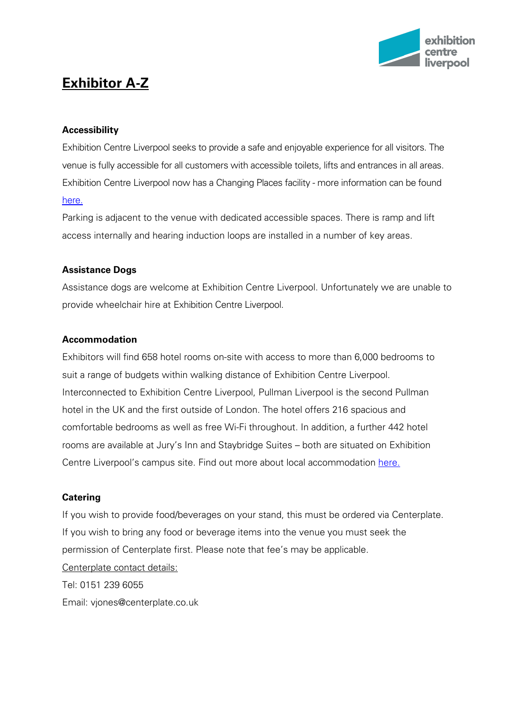

# **Exhibitor A-Z**

## **Accessibility**

Exhibition Centre Liverpool seeks to provide a safe and enjoyable experience for all visitors. The venue is fully accessible for all customers with accessible toilets, lifts and entrances in all areas. Exhibition Centre Liverpool now has a Changing Places facility - more information can be found [here.](http://www.exhibitioncentreliverpool.com/visiting-us/customer-service/accessibility/)

Parking is adjacent to the venue with dedicated accessible spaces. There is ramp and lift access internally and hearing induction loops are installed in a number of key areas.

#### **Assistance Dogs**

Assistance dogs are welcome at Exhibition Centre Liverpool. Unfortunately we are unable to provide wheelchair hire at Exhibition Centre Liverpool.

## **Accommodation**

Exhibitors will find 658 hotel rooms on-site with access to more than 6,000 bedrooms to suit a range of budgets within walking distance of Exhibition Centre Liverpool. Interconnected to Exhibition Centre Liverpool, Pullman Liverpool is the second Pullman hotel in the UK and the first outside of London. The hotel offers 216 spacious and comfortable bedrooms as well as free Wi-Fi throughout. In addition, a further 442 hotel rooms are available at Jury's Inn and Staybridge Suites – both are situated on Exhibition Centre Liverpool's campus site. Find out more about local accommodation [here.](http://www.exhibitioncentreliverpool.com/visiting-us/visiting-liverpool/hotels/)

#### **Catering**

If you wish to provide food/beverages on your stand, this must be ordered via Centerplate. If you wish to bring any food or beverage items into the venue you must seek the permission of Centerplate first. Please note that fee's may be applicable. Centerplate contact details: Tel: 0151 239 6055 Email: vjones@centerplate.co.uk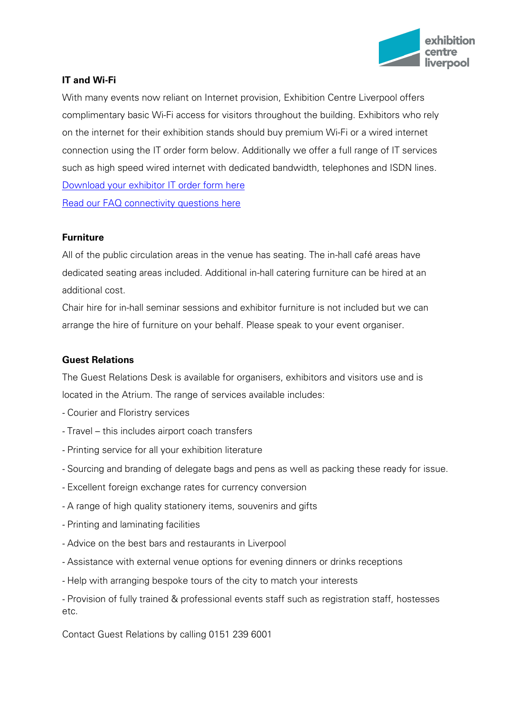

# **IT and Wi-Fi**

With many events now reliant on Internet provision, Exhibition Centre Liverpool offers complimentary basic Wi-Fi access for visitors throughout the building. Exhibitors who rely on the internet for their exhibition stands should buy premium Wi-Fi or a wired internet connection using the IT order form below. Additionally we offer a full range of IT services such as high speed wired internet with dedicated bandwidth, telephones and ISDN lines. Download [your exhibitor IT order form here](http://www.accliverpool.com/media/1587656/it-order-form.pdf) [Read our FAQ connectivity questions here](http://www.accliverpool.com/media/1587665/wi-fi-connectivity-faqs.pdf)

## **Furniture**

All of the public circulation areas in the venue has seating. The in-hall café areas have dedicated seating areas included. Additional in-hall catering furniture can be hired at an additional cost.

Chair hire for in-hall seminar sessions and exhibitor furniture is not included but we can arrange the hire of furniture on your behalf. Please speak to your event organiser.

#### **Guest Relations**

The Guest Relations Desk is available for organisers, exhibitors and visitors use and is located in the Atrium. The range of services available includes:

- Courier and Floristry services
- Travel this includes airport coach transfers
- Printing service for all your exhibition literature
- Sourcing and branding of delegate bags and pens as well as packing these ready for issue.
- Excellent foreign exchange rates for currency conversion
- A range of high quality stationery items, souvenirs and gifts
- Printing and laminating facilities
- Advice on the best bars and restaurants in Liverpool
- Assistance with external venue options for evening dinners or drinks receptions
- Help with arranging bespoke tours of the city to match your interests

- Provision of fully trained & professional events staff such as registration staff, hostesses etc.

Contact Guest Relations by calling 0151 239 6001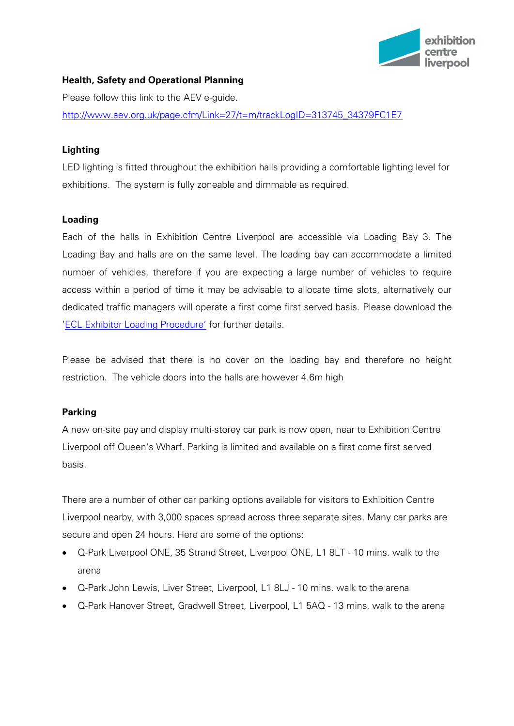

## **Health, Safety and Operational Planning**

Please follow this link to the AEV e-guide.

[http://www.aev.org.uk/page.cfm/Link=27/t=m/trackLogID=313745\\_34379FC1E7](http://www.aev.org.uk/page.cfm/Link=27/t=m/trackLogID=313745_34379FC1E7)

## **Lighting**

LED lighting is fitted throughout the exhibition halls providing a comfortable lighting level for exhibitions. The system is fully zoneable and dimmable as required.

#### **Loading**

Each of the halls in Exhibition Centre Liverpool are accessible via Loading Bay 3. The Loading Bay and halls are on the same level. The loading bay can accommodate a limited number of vehicles, therefore if you are expecting a large number of vehicles to require access within a period of time it may be advisable to allocate time slots, alternatively our dedicated traffic managers will operate a first come first served basis. Please download the ['ECL Exhibitor Loading Procedure'](http://www.accliverpool.com/media/1627826/appendix-1203-exhibition-centre-liverpool-load-in-load-out-procedure.pdf) for further details.

Please be advised that there is no cover on the loading bay and therefore no height restriction. The vehicle doors into the halls are however 4.6m high

#### **Parking**

A new on-site pay and display multi-storey car park is now open, near to Exhibition Centre Liverpool off Queen's Wharf. Parking is limited and available on a first come first served basis.

There are a number of other car parking options available for visitors to Exhibition Centre Liverpool nearby, with 3,000 spaces spread across three separate sites. Many car parks are secure and open 24 hours. Here are some of the options:

- Q-Park Liverpool ONE, 35 Strand Street, Liverpool ONE, L1 8LT 10 mins. walk to the arena
- Q-Park John Lewis, Liver Street, Liverpool, L1 8LJ 10 mins. walk to the arena
- Q-Park Hanover Street, Gradwell Street, Liverpool, L1 5AQ 13 mins. walk to the arena